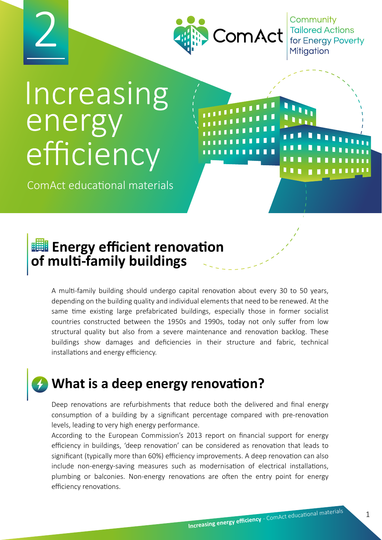



Community **Tailored Actions** for Energy Poverty

# Increasing energy efficiency

ComAct educational materials

# **ENDIE ENERGY efficient renovation**

**of multi-family buildings**  A multi-family building should undergo capital renovation about every 30 to 50 years, depending on the building quality and individual elements that need to be renewed. At the same time existing large prefabricated buildings, especially those in former socialist

countries constructed between the 1950s and 1990s, today not only suffer from low structural quality but also from a severe maintenance and renovation backlog. These buildings show damages and deficiencies in their structure and fabric, technical installations and energy efficiency.

# **What is a deep energy renovation?**

Deep renovations are refurbishments that reduce both the delivered and final energy consumption of a building by a significant percentage compared with pre-renovation levels, leading to very high energy performance.

According to the European Commission's 2013 report on financial support for energy efficiency in buildings, 'deep renovation' can be considered as renovation that leads to significant (typically more than 60%) efficiency improvements. A deep renovation can also include non-energy-saving measures such as modernisation of electrical installations, plumbing or balconies. Non-energy renovations are often the entry point for energy efficiency renovations.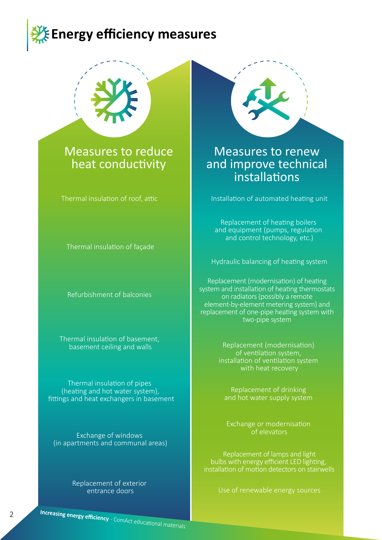



#### Measures to reduce heat conductivity

Thermal insulation of roof, attic

Thermal insulation of façade

Refurbishment of balconies

Thermal insulation of basement, basement ceiling and walls

Thermal insulation of pipes (heating and hot water system), fittings and heat exchangers in basement

Exchange of windows (in apartments and communal areas)

> Replacement of exterior entrance doors



#### Measures to renew and improve technical installations

Installation of automated heating unit

Replacement of heating boilers and equipment (pumps, regulation and control technology, etc.)

Hydraulic balancing of heating system

Replacement (modernisation) of heating system and installation of heating thermostats on radiators (possibly a remote element-by-element metering system) and replacement of one-pipe heating system with two-pipe system

> Replacement (modernisation) of ventilation system, installation of ventilation system with heat recovery

Replacement of drinking and hot water supply system

Exchange or modernisation of elevators

Replacement of lamps and light bulbs with energy efficient LED lighting, installation of motion detectors on stairwells

Use of renewable energy sources

**Increasing energy efficiency** - ComAct educational materials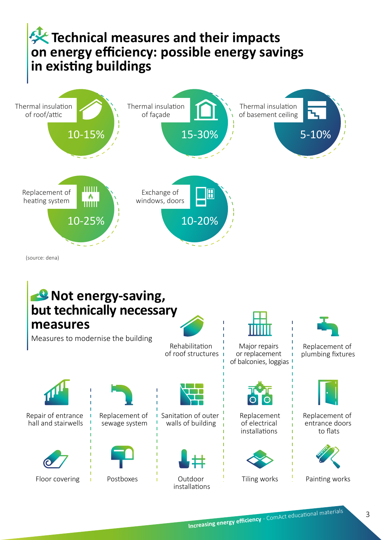### **Technical measures and their impacts on energy efficiency: possible energy savings in existing buildings**



(source: dena)

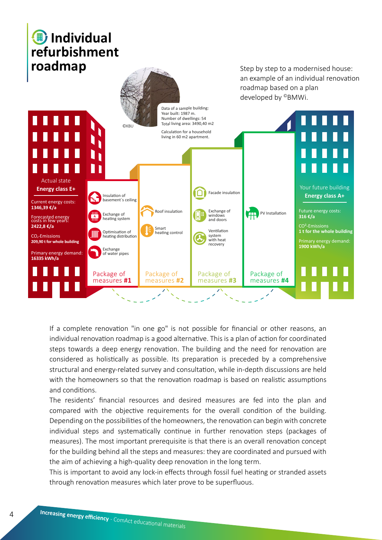### *I* Individual **refurbishment roadmap roadmap** *step by step to a modernised house:*



If a complete renovation "in one go" is not possible for financial or other reasons, an individual renovation roadmap is a good alternative. This is a plan of action for coordinated steps towards a deep energy renovation. The building and the need for renovation are considered as holistically as possible. Its preparation is preceded by a comprehensive structural and energy-related survey and consultation, while in-depth discussions are held with the homeowners so that the renovation roadmap is based on realistic assumptions and conditions.

The residents' financial resources and desired measures are fed into the plan and compared with the objective requirements for the overall condition of the building. Depending on the possibilities of the homeowners, the renovation can begin with concrete individual steps and systematically continue in further renovation steps (packages of measures). The most important prerequisite is that there is an overall renovation concept for the building behind all the steps and measures: they are coordinated and pursued with the aim of achieving a high-quality deep renovation in the long term.

This is important to avoid any lock-in effects through fossil fuel heating or stranded assets through renovation measures which later prove to be superfluous.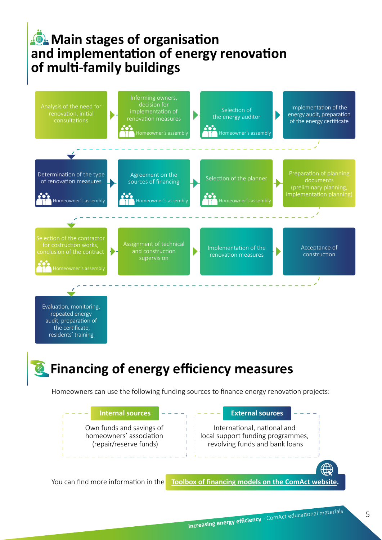#### **Main stages of organisation and implementation of energy renovation of multi-family buildings**



Evaluation, monitoring, repeated energy audit, preparation of the certificate, residents' training

## **Financing of energy efficiency measures**

Homeowners can use the following funding sources to finance energy renovation projects: